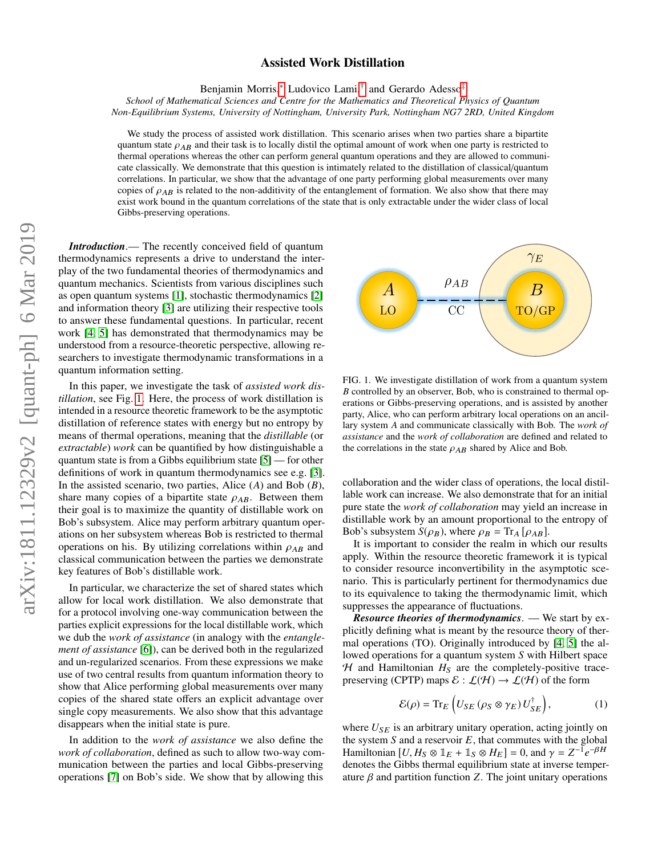# arXiv:1811.12329v2 [quant-ph] 6 Mar 2019 arXiv:1811.12329v2 [quant-ph] 6 Mar 2019

# Assisted Work Distillation

Benjamin Morris,\* Ludovico Lami,<sup>[†](#page-4-1)</sup> and Gerardo Adesso<sup>[‡](#page-4-2)</sup>

*School of Mathematical Sciences and Centre for the Mathematics and Theoretical Physics of Quantum Non-Equilibrium Systems, University of Nottingham, University Park, Nottingham NG7 2RD, United Kingdom*

We study the process of assisted work distillation. This scenario arises when two parties share a bipartite quantum state  $\rho_{AB}$  and their task is to locally distil the optimal amount of work when one party is restricted to thermal operations whereas the other can perform general quantum operations and they are allowed to communicate classically. We demonstrate that this question is intimately related to the distillation of classical/quantum correlations. In particular, we show that the advantage of one party performing global measurements over many copies of  $\rho_{AB}$  is related to the non-additivity of the entanglement of formation. We also show that there may exist work bound in the quantum correlations of the state that is only extractable under the wider class of local Gibbs-preserving operations.

*Introduction*.— The recently conceived field of quantum thermodynamics represents a drive to understand the interplay of the two fundamental theories of thermodynamics and quantum mechanics. Scientists from various disciplines such as open quantum systems [\[1\]](#page-4-3), stochastic thermodynamics [\[2\]](#page-4-4) and information theory [\[3\]](#page-4-5) are utilizing their respective tools to answer these fundamental questions. In particular, recent work [\[4,](#page-4-6) [5\]](#page-4-7) has demonstrated that thermodynamics may be understood from a resource-theoretic perspective, allowing researchers to investigate thermodynamic transformations in a quantum information setting.

In this paper, we investigate the task of *assisted work distillation*, see Fig. [1.](#page-0-0) Here, the process of work distillation is intended in a resource theoretic framework to be the asymptotic distillation of reference states with energy but no entropy by means of thermal operations, meaning that the *distillable* (or *extractable*) *work* can be quantified by how distinguishable a quantum state is from a Gibbs equilibrium state [\[5\]](#page-4-7) — for other definitions of work in quantum thermodynamics see e.g. [\[3\]](#page-4-5). In the assisted scenario, two parties, Alice (*A*) and Bob (*B*), share many copies of a bipartite state  $\rho_{AB}$ . Between them their goal is to maximize the quantity of distillable work on Bob's subsystem. Alice may perform arbitrary quantum operations on her subsystem whereas Bob is restricted to thermal operations on his. By utilizing correlations within  $\rho_{AB}$  and classical communication between the parties we demonstrate key features of Bob's distillable work.

In particular, we characterize the set of shared states which allow for local work distillation. We also demonstrate that for a protocol involving one-way communication between the parties explicit expressions for the local distillable work, which we dub the *work of assistance* (in analogy with the *entanglement of assistance* [\[6\]](#page-4-8)), can be derived both in the regularized and un-regularized scenarios. From these expressions we make use of two central results from quantum information theory to show that Alice performing global measurements over many copies of the shared state offers an explicit advantage over single copy measurements. We also show that this advantage disappears when the initial state is pure.

In addition to the *work of assistance* we also define the *work of collaboration*, defined as such to allow two-way communication between the parties and local Gibbs-preserving operations [\[7\]](#page-4-9) on Bob's side. We show that by allowing this



<span id="page-0-0"></span>FIG. 1. We investigate distillation of work from a quantum system *B* controlled by an observer, Bob, who is constrained to thermal operations or Gibbs-preserving operations, and is assisted by another party, Alice, who can perform arbitrary local operations on an ancillary system *A* and communicate classically with Bob. The *work of assistance* and the *work of collaboration* are defined and related to the correlations in the state  $\rho_{AB}$  shared by Alice and Bob.

collaboration and the wider class of operations, the local distillable work can increase. We also demonstrate that for an initial pure state the *work of collaboration* may yield an increase in distillable work by an amount proportional to the entropy of Bob's subsystem  $S(\rho_B)$ , where  $\rho_B = \text{Tr}_A [\rho_{AB}]$ .

It is important to consider the realm in which our results apply. Within the resource theoretic framework it is typical to consider resource inconvertibility in the asymptotic scenario. This is particularly pertinent for thermodynamics due to its equivalence to taking the thermodynamic limit, which suppresses the appearance of fluctuations.

*Resource theories of thermodynamics*. — We start by explicitly defining what is meant by the resource theory of thermal operations (TO). Originally introduced by [\[4,](#page-4-6) [5\]](#page-4-7) the allowed operations for a quantum system *S* with Hilbert space  $H$  and Hamiltonian  $H_S$  are the completely-positive tracepreserving (CPTP) maps  $\mathcal{E} : \mathcal{L}(\mathcal{H}) \to \mathcal{L}(\mathcal{H})$  of the form

<span id="page-0-1"></span>
$$
\mathcal{E}(\rho) = \text{Tr}_E \left( U_{SE} \left( \rho_S \otimes \gamma_E \right) U_{SE}^{\dagger} \right), \tag{1}
$$

where  $U_{SE}$  is an arbitrary unitary operation, acting jointly on the system  $S$  and a reservoir  $E$ , that commutes with the global Hamiltonian  $[U, H_S \otimes \mathbb{1}_E + \mathbb{1}_S \otimes H_E] = 0$ , and  $\gamma = Z^{-1}e^{-\beta H}$ <br>denotes the Gibbs thermal equilibrium state at inverse temper denotes the Gibbs thermal equilibrium state at inverse temperature β and partition function *<sup>Z</sup>*. The joint unitary operations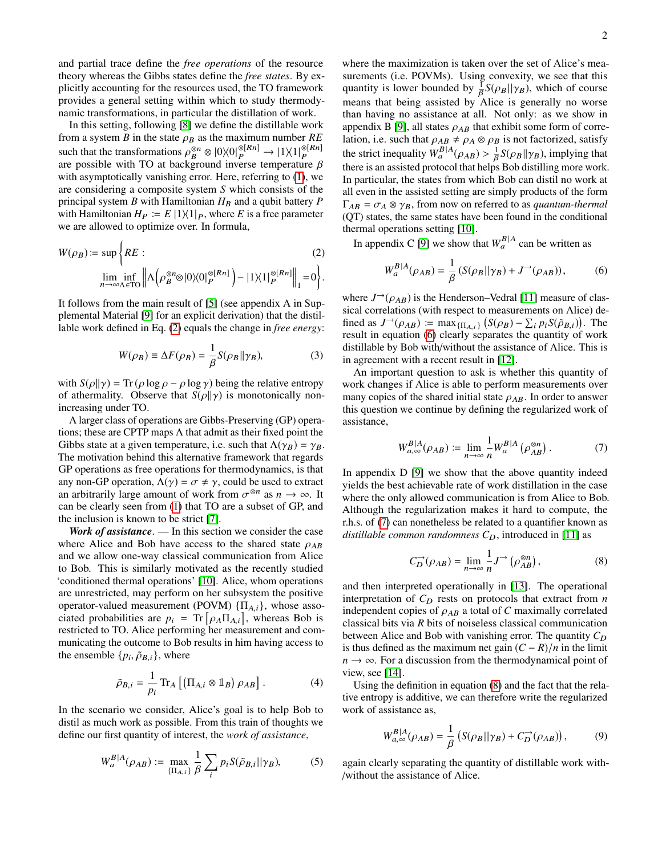and partial trace define the *free operations* of the resource theory whereas the Gibbs states define the *free states*. By explicitly accounting for the resources used, the TO framework provides a general setting within which to study thermodynamic transformations, in particular the distillation of work.

In this setting, following [\[8\]](#page-4-10) we define the distillable work from a system *B* in the state  $\rho_B$  as the maximum number *RE*<br>such that the transformations  $e^{\otimes n} \otimes 10 \vee 0!^{\otimes [Rn]} \longrightarrow 11 \vee 1!^{\otimes [Rn]}$ such that the transformations  $\rho_B^{\otimes n} \otimes |0\rangle\langle 0|_P^{\otimes [Rn]} \to |1\rangle\langle 1|_P^{\otimes [Rn]}$ <br>are possible with TO at background inverse temperature B P are possible with TO at background inverse temperature  $\beta$ with asymptotically vanishing error. Here, referring to [\(1\)](#page-0-1), we are considering a composite system *S* which consists of the principal system *B* with Hamiltonian  $H_B$  and a qubit battery *P* with Hamiltonian  $H_P := E |1\rangle\langle 1|_P$ , where *E* is a free parameter we are allowed to optimize over. In formula,

<span id="page-1-0"></span>
$$
W(\rho_B) := \sup \left\{ RE \, : \, (2)
$$
  

$$
\lim_{n \to \infty} \inf_{\Lambda \in \mathcal{I}^{\mathcal{O}}} \left\| \Lambda \left( \rho_B^{\otimes n} \otimes |0\rangle\langle 0|_P^{\otimes [Rn]} \right) - |1\rangle\langle 1|_P^{\otimes [Rn]} \right\|_1 = 0 \right\}.
$$

It follows from the main result of [\[5\]](#page-4-7) (see appendix A in Supplemental Material [\[9\]](#page-4-11) for an explicit derivation) that the distillable work defined in Eq. [\(2\)](#page-1-0) equals the change in *free energy*:

<span id="page-1-5"></span>
$$
W(\rho_B) \equiv \Delta F(\rho_B) = \frac{1}{\beta} S(\rho_B || \gamma_B),\tag{3}
$$

with  $S(\rho||\gamma) = \text{Tr}(\rho \log \rho - \rho \log \gamma)$  being the relative entropy of athermality. Observe that  $S(\rho||\gamma)$  is monotonically nonincreasing under TO.

A larger class of operations are Gibbs-Preserving (GP) operations; these are CPTP maps  $\Lambda$  that admit as their fixed point the Gibbs state at a given temperature, i.e. such that  $\Lambda(\gamma_B) = \gamma_B$ . The motivation behind this alternative framework that regards GP operations as free operations for thermodynamics, is that any non-GP operation,  $\Lambda(\gamma) = \sigma \neq \gamma$ , could be used to extract an arbitrarily large amount of work from  $\sigma^{\otimes n}$  as  $n \to \infty$ . It can be clearly seen from (1) that TO are a subset of GP and can be clearly seen from [\(1\)](#page-0-1) that TO are a subset of GP, and the inclusion is known to be strict [\[7\]](#page-4-9).

*Work of assistance*. — In this section we consider the case where Alice and Bob have access to the shared state  $\rho_{AB}$ and we allow one-way classical communication from Alice to Bob. This is similarly motivated as the recently studied 'conditioned thermal operations' [\[10\]](#page-4-12). Alice, whom operations are unrestricted, may perform on her subsystem the positive operator-valued measurement (POVM)  $\{\Pi_{A,i}\}\$ , whose associated probabilities are  $p_i = \text{Tr} \left[ \rho_A \Pi_{A,i} \right]$ , whereas Bob is<br>restricted to TO. Alice performing her measurement and comrestricted to TO. Alice performing her measurement and communicating the outcome to Bob results in him having access to the ensemble  $\{p_i, \tilde{\rho}_{B,i}\}\$ , where

$$
\tilde{\rho}_{B,i} = \frac{1}{p_i} \operatorname{Tr}_A \left[ \left( \Pi_{A,i} \otimes \mathbb{1}_B \right) \rho_{AB} \right]. \tag{4}
$$

In the scenario we consider, Alice's goal is to help Bob to distil as much work as possible. From this train of thoughts we define our first quantity of interest, the *work of assistance*,

$$
W_a^{B|A}(\rho_{AB}) := \max_{\{\Pi_{A,i}\}} \frac{1}{\beta} \sum_i p_i S(\tilde{\rho}_{B,i}||\gamma_B),
$$
 (5)

where the maximization is taken over the set of Alice's measurements (i.e. POVMs). Using convexity, we see that this quantity is lower bounded by  $\frac{1}{\beta}S(\rho_B||\gamma_B)$ , which of course<br>means that being assisted by Alice is generally no worse means that being assisted by Alice is generally no worse than having no assistance at all. Not only: as we show in appendix B [\[9\]](#page-4-11), all states  $\rho_{AB}$  that exhibit some form of correlation, i.e. such that  $\rho_{AB} \neq \rho_A \otimes \rho_B$  is not factorized, satisfy<br>the strict inequality  $W_a^{B|A}(\rho_{AB}) > \frac{1}{\beta} S(\rho_B || \gamma_B)$ , implying that<br>there is an assisted protocol that belog Bob distilling more work there is an assisted protocol that helps Bob distilling more work. In particular, the states from which Bob can distil no work at all even in the assisted setting are simply products of the form  $\Gamma_{AB} = \sigma_A \otimes \gamma_B$ , from now on referred to as *quantum-thermal* (QT) states, the same states have been found in the conditional thermal operations setting [\[10\]](#page-4-12).

In appendix C [\[9\]](#page-4-11) we show that  $W_a^{B|A}$  can be written as

<span id="page-1-1"></span>
$$
W_a^{B|A}(\rho_{AB}) = \frac{1}{\beta} \left( S(\rho_B || \gamma_B) + J^{-\lambda}(\rho_{AB}) \right),\tag{6}
$$

where  $J^{\rightarrow}(\rho_{AB})$  is the Henderson–Vedral [\[11\]](#page-4-13) measure of classical correlations (with respect to measurements on Alice) defined as  $J^{\rightarrow}(\rho_{AB}) := \max_{\{[\Pi_{A,i}\}} (S(\rho_B) - \sum_i p_i S(\tilde{\rho}_{B,i}))$ . The result in equation (6) clearly separates the quantity of work result in equation [\(6\)](#page-1-1) clearly separates the quantity of work distillable by Bob with/without the assistance of Alice. This is in agreement with a recent result in [\[12\]](#page-4-14).

An important question to ask is whether this quantity of work changes if Alice is able to perform measurements over many copies of the shared initial state  $\rho_{AB}$ . In order to answer this question we continue by defining the regularized work of assistance,

<span id="page-1-2"></span>
$$
W_{a,\infty}^{B|A}(\rho_{AB}) \coloneqq \lim_{n \to \infty} \frac{1}{n} W_a^{B|A}(\rho_{AB}^{\otimes n}). \tag{7}
$$

In appendix D [\[9\]](#page-4-11) we show that the above quantity indeed yields the best achievable rate of work distillation in the case where the only allowed communication is from Alice to Bob. Although the regularization makes it hard to compute, the r.h.s. of [\(7\)](#page-1-2) can nonetheless be related to a quantifier known as *distillable common randomness*  $C_D$ , introduced in [\[11\]](#page-4-13) as

<span id="page-1-3"></span>
$$
C_D^{\to}(\rho_{AB}) = \lim_{n \to \infty} \frac{1}{n} J^{\to}(\rho_{AB}^{\otimes n}), \tag{8}
$$

and then interpreted operationally in [\[13\]](#page-4-15). The operational interpretation of  $C_D$  rests on protocols that extract from  $n$ independent copies of  $\rho_{AB}$  a total of *C* maximally correlated classical bits via *R* bits of noiseless classical communication between Alice and Bob with vanishing error. The quantity  $C_D$ is thus defined as the maximum net gain  $(C - R)/n$  in the limit  $n \to \infty$ . For a discussion from the thermodynamical point of view, see [\[14\]](#page-4-16).

<span id="page-1-6"></span>Using the definition in equation [\(8\)](#page-1-3) and the fact that the relative entropy is additive, we can therefore write the regularized work of assistance as,

<span id="page-1-4"></span>
$$
W_{a,\infty}^{B|A}(\rho_{AB}) = \frac{1}{\beta} \left( S(\rho_B || \gamma_B) + C_D^{\rightarrow}(\rho_{AB}) \right), \tag{9}
$$

<span id="page-1-7"></span>again clearly separating the quantity of distillable work with- /without the assistance of Alice.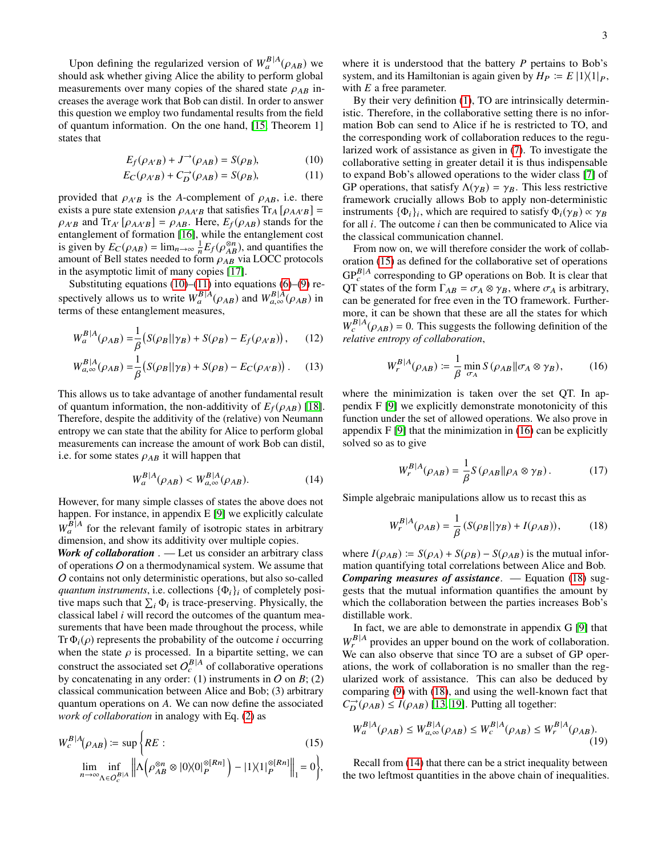Upon defining the regularized version of  $W_a^{B|A}(\rho_{AB})$  we ould ask whether giving Alice the ability to perform global should ask whether giving Alice the ability to perform global measurements over many copies of the shared state  $\rho_{AB}$  increases the average work that Bob can distil. In order to answer this question we employ two fundamental results from the field of quantum information. On the one hand, [\[15,](#page-4-17) Theorem 1] states that

$$
E_f(\rho_{A'B}) + J^{\rightarrow}(\rho_{AB}) = S(\rho_B), \tag{10}
$$

$$
E_C(\rho_{A'B}) + C_D^{\to}(\rho_{AB}) = S(\rho_B),\tag{11}
$$

provided that  $\rho_{A'B}$  is the *A*-complement of  $\rho_{AB}$ , i.e. there exists a pure state extension  $\rho_{AA'B}$  that satisfies  $Tr_A [\rho_{AA'B}]$  =  $\rho_{A'B}$  and Tr<sub>A'</sub> [ $\rho_{AA'B}$ ] =  $\rho_{AB}$ . Here,  $E_f(\rho_{AB})$  stands for the entanglement of formation [\[16\]](#page-4-18), while the entanglement cost is given by  $E_C(\rho_{AB}) = \lim_{n \to \infty} \frac{1}{n} E_f(\rho_{AB}^{\otimes n})$ , and quantifies the amount of Bell states needed to form  $\rho_{AB}$  via LOCC protocols<br>in the asymptotic limit of many copies [17] in the asymptotic limit of many copies [\[17\]](#page-4-19).

Substituting equations  $(10)$ – $(11)$  into equations  $(6)$ – $(9)$  respectively allows us to write  $W_a^{B|A}(\rho_{AB})$  and  $W_{a,\infty}^{B|A}(\rho_{AB})$  in terms of these entanglement measures,

$$
W_a^{B|A}(\rho_{AB}) = \frac{1}{\beta} (S(\rho_B || \gamma_B) + S(\rho_B) - E_f(\rho_{A'B})),
$$
 (12)

$$
W_{a,\infty}^{B|A}(\rho_{AB}) = \frac{1}{\beta} \left( S(\rho_B || \gamma_B) + S(\rho_B) - E_C(\rho_{A'B}) \right). \tag{13}
$$

This allows us to take advantage of another fundamental result of quantum information, the non-additivity of  $E_f(\rho_{AB})$  [\[18\]](#page-4-20). Therefore, despite the additivity of the (relative) von Neumann entropy we can state that the ability for Alice to perform global measurements can increase the amount of work Bob can distil, i.e. for some states  $\rho_{AB}$  it will happen that

$$
W_a^{B|A}(\rho_{AB}) < W_{a,\infty}^{B|A}(\rho_{AB}).\tag{14}
$$

However, for many simple classes of states the above does not happen. For instance, in appendix E [\[9\]](#page-4-11) we explicitly calculate  $W_a^{B|A}$  for the relevant family of isotropic states in arbitrary dimension, and show its additivity over multiple copies.

*Work of collaboration* . — Let us consider an arbitrary class of operations O on a thermodynamical system. We assume that O contains not only deterministic operations, but also so-called *quantum instruments*, i.e. collections  $\{\Phi_i\}_i$  of completely positive maps such that  $\sum_i \Phi_i$  is trace-preserving. Physically, the classical label *i* will record the outcomes of the quantum measurements that have been made throughout the process, while Tr  $\Phi_i(\rho)$  represents the probability of the outcome *i* occurring when the state  $\rho$  is processed. In a bipartite setting, we can when the state  $\rho$  is processed. In a bipartite setting, we can construct the associated set  $O_c^{B|A}$  of collaborative operations by concatenating in any order: (1) instruments in  $O$  on  $B$ ; (2) classical communication between Alice and Bob; (3) arbitrary quantum operations on *A*. We can now define the associated *work of collaboration* in analogy with Eq. [\(2\)](#page-1-0) as

<span id="page-2-2"></span>
$$
W_c^{B|A}(\rho_{AB}) \coloneqq \sup \bigg\{ RE : \n\lim_{n \to \infty} \inf_{\Lambda \in O_c^{E|A}} \bigg\| \Lambda \bigg(\rho_{AB}^{\otimes n} \otimes |0\rangle\langle 0|_P^{\otimes [Rn]} \bigg) - |1\rangle\langle 1|_P^{\otimes [Rn]} \bigg\|_1 = 0 \bigg\},\n\tag{15}
$$

where it is understood that the battery *P* pertains to Bob's system, and its Hamiltonian is again given by  $H_P \coloneqq E |1\rangle\langle 1|_P$ , with *E* a free parameter.

<span id="page-2-1"></span><span id="page-2-0"></span>By their very definition [\(1\)](#page-0-1), TO are intrinsically deterministic. Therefore, in the collaborative setting there is no information Bob can send to Alice if he is restricted to TO, and the corresponding work of collaboration reduces to the regularized work of assistance as given in [\(7\)](#page-1-2). To investigate the collaborative setting in greater detail it is thus indispensable to expand Bob's allowed operations to the wider class [\[7\]](#page-4-9) of GP operations, that satisfy  $\Lambda(\gamma_B) = \gamma_B$ . This less restrictive framework crucially allows Bob to apply non-deterministic instruments  $\{\Phi_i\}_i$ , which are required to satisfy  $\Phi_i(\gamma_B) \propto \gamma_B$ <br>for all *i*. The outcome *i* can then be communicated to Alice via for all *i*. The outcome *i* can then be communicated to Alice via the classical communication channel.

From now on, we will therefore consider the work of collaboration [\(15\)](#page-2-2) as defined for the collaborative set of operations  $GP_c^{B|A}$  corresponding to GP operations on Bob. It is clear that QT states of the form  $\Gamma_{AB} = \sigma_A \otimes \gamma_B$ , where  $\sigma_A$  is arbitrary,<br>can be generated for free even in the TO framework. Furthercan be generated for free even in the TO framework. Furthermore, it can be shown that these are all the states for which  $W_c^{B|A}(\rho_{AB}) = 0$ . This suggests the following definition of the relative entrary of collaboration *relative entropy of collaboration*,

<span id="page-2-3"></span>
$$
W_r^{B|A}(\rho_{AB}) \coloneqq \frac{1}{\beta} \min_{\sigma_A} S(\rho_{AB} || \sigma_A \otimes \gamma_B), \tag{16}
$$

where the minimization is taken over the set QT. In appendix F [\[9\]](#page-4-11) we explicitly demonstrate monotonicity of this function under the set of allowed operations. We also prove in appendix  $F[9]$  $F[9]$  that the minimization in [\(16\)](#page-2-3) can be explicitly solved so as to give

<span id="page-2-4"></span>
$$
W_P^{B|A}(\rho_{AB}) = \frac{1}{\beta} S(\rho_{AB} || \rho_A \otimes \gamma_B). \tag{17}
$$

<span id="page-2-5"></span>Simple algebraic manipulations allow us to recast this as

$$
W_r^{B|A}(\rho_{AB}) = \frac{1}{\beta} \left( S(\rho_B || \gamma_B) + I(\rho_{AB}) \right),\tag{18}
$$

where  $I(\rho_{AB}) \coloneqq S(\rho_A) + S(\rho_B) - S(\rho_{AB})$  is the mutual information quantifying total correlations between Alice and Bob. *Comparing measures of assistance*. — Equation [\(18\)](#page-2-4) suggests that the mutual information quantifies the amount by which the collaboration between the parties increases Bob's distillable work.

In fact, we are able to demonstrate in appendix G [\[9\]](#page-4-11) that  $W_r^{B|A}$  provides an upper bound on the work of collaboration. We can also observe that since TO are a subset of GP operations, the work of collaboration is no smaller than the regularized work of assistance. This can also be deduced by comparing [\(9\)](#page-1-4) with [\(18\)](#page-2-4), and using the well-known fact that  $C_D^{\rightarrow}(\rho_{AB}) \le I(\rho_{AB})$  [\[13,](#page-4-15) [19\]](#page-4-21). Putting all together:

<span id="page-2-6"></span>
$$
W_a^{B|A}(\rho_{AB}) \le W_{a,\infty}^{B|A}(\rho_{AB}) \le W_c^{B|A}(\rho_{AB}) \le W_r^{B|A}(\rho_{AB}).
$$
\n(19)

Recall from [\(14\)](#page-2-5) that there can be a strict inequality between the two leftmost quantities in the above chain of inequalities.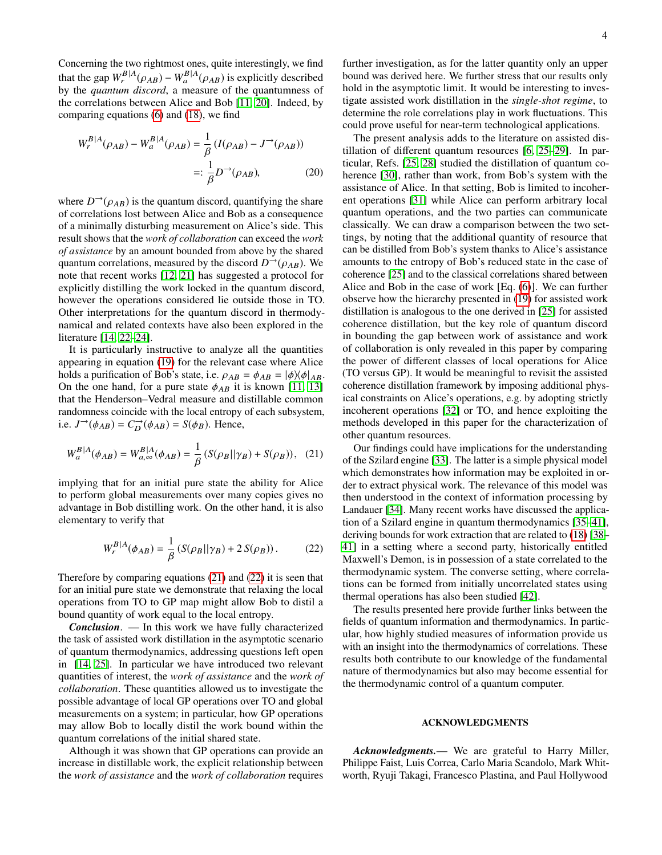Concerning the two rightmost ones, quite interestingly, we find that the gap  $W_r^{B|A}(\rho_{AB}) - W_a^{B|A}(\rho_{AB})$  is explicitly described<br>by the *quantum discord*, a measure of the quantumness of the correlations between Alice and Bob [\[11,](#page-4-13) [20\]](#page-4-22). Indeed, by comparing equations [\(6\)](#page-1-1) and [\(18\)](#page-2-4), we find

$$
W_r^{B|A}(\rho_{AB}) - W_a^{B|A}(\rho_{AB}) = \frac{1}{\beta} (I(\rho_{AB}) - J^{\to}(\rho_{AB}))
$$
  
=:  $\frac{1}{\beta} D^{\to}(\rho_{AB}),$  (20)

where  $D^{-1}(\rho_{AB})$  is the quantum discord, quantifying the share of correlations lost between Alice and Bob as a consequence of a minimally disturbing measurement on Alice's side. This result shows that the *work of collaboration* can exceed the *work of assistance* by an amount bounded from above by the shared quantum correlations, measured by the discord  $D^{-1}(\rho_{AB})$ . We note that recent works [\[12,](#page-4-14) [21\]](#page-4-23) has suggested a protocol for explicitly distilling the work locked in the quantum discord, however the operations considered lie outside those in TO. Other interpretations for the quantum discord in thermodynamical and related contexts have also been explored in the literature [\[14,](#page-4-16) [22–](#page-4-24)[24\]](#page-4-25).

It is particularly instructive to analyze all the quantities appearing in equation [\(19\)](#page-2-6) for the relevant case where Alice holds a purification of Bob's state, i.e.  $\rho_{AB} = \phi_{AB} = |\phi\rangle\langle\phi|_{AB}$ . On the one hand, for a pure state  $\phi_{AB}$  it is known [\[11,](#page-4-13) [13\]](#page-4-15) that the Henderson–Vedral measure and distillable common randomness coincide with the local entropy of each subsystem, i.e.  $J^{\rightarrow}(\phi_{AB}) = C_D^{\rightarrow}(\phi_{AB}) = S(\phi_B)$ . Hence,

$$
W_{a}^{B|A}(\phi_{AB}) = W_{a,\infty}^{B|A}(\phi_{AB}) = \frac{1}{\beta} (S(\rho_{B}||\gamma_{B}) + S(\rho_{B})), \quad (21)
$$

implying that for an initial pure state the ability for Alice to perform global measurements over many copies gives no advantage in Bob distilling work. On the other hand, it is also elementary to verify that

$$
W_P^{B|A}(\phi_{AB}) = \frac{1}{\beta} \left( S(\rho_B || \gamma_B) + 2 S(\rho_B) \right). \tag{22}
$$

Therefore by comparing equations [\(21\)](#page-3-0) and [\(22\)](#page-3-1) it is seen that for an initial pure state we demonstrate that relaxing the local operations from TO to GP map might allow Bob to distil a bound quantity of work equal to the local entropy.

*Conclusion*. — In this work we have fully characterized the task of assisted work distillation in the asymptotic scenario of quantum thermodynamics, addressing questions left open in [\[14,](#page-4-16) [25\]](#page-4-26). In particular we have introduced two relevant quantities of interest, the *work of assistance* and the *work of collaboration*. These quantities allowed us to investigate the possible advantage of local GP operations over TO and global measurements on a system; in particular, how GP operations may allow Bob to locally distil the work bound within the quantum correlations of the initial shared state.

Although it was shown that GP operations can provide an increase in distillable work, the explicit relationship between the *work of assistance* and the *work of collaboration* requires further investigation, as for the latter quantity only an upper bound was derived here. We further stress that our results only hold in the asymptotic limit. It would be interesting to investigate assisted work distillation in the *single-shot regime*, to determine the role correlations play in work fluctuations. This could prove useful for near-term technological applications.

The present analysis adds to the literature on assisted distillation of different quantum resources [\[6,](#page-4-8) [25](#page-4-26)[–29\]](#page-4-27). In particular, Refs. [\[25,](#page-4-26) [28\]](#page-4-28) studied the distillation of quantum coherence [\[30\]](#page-4-29), rather than work, from Bob's system with the assistance of Alice. In that setting, Bob is limited to incoherent operations [\[31\]](#page-4-30) while Alice can perform arbitrary local quantum operations, and the two parties can communicate classically. We can draw a comparison between the two settings, by noting that the additional quantity of resource that can be distilled from Bob's system thanks to Alice's assistance amounts to the entropy of Bob's reduced state in the case of coherence [\[25\]](#page-4-26) and to the classical correlations shared between Alice and Bob in the case of work [Eq. [\(6\)](#page-1-1)]. We can further observe how the hierarchy presented in [\(19\)](#page-2-6) for assisted work distillation is analogous to the one derived in [\[25\]](#page-4-26) for assisted coherence distillation, but the key role of quantum discord in bounding the gap between work of assistance and work of collaboration is only revealed in this paper by comparing the power of different classes of local operations for Alice (TO versus GP). It would be meaningful to revisit the assisted coherence distillation framework by imposing additional physical constraints on Alice's operations, e.g. by adopting strictly incoherent operations [\[32\]](#page-4-31) or TO, and hence exploiting the methods developed in this paper for the characterization of other quantum resources.

<span id="page-3-0"></span>Our findings could have implications for the understanding of the Szilard engine [\[33\]](#page-4-32). The latter is a simple physical model which demonstrates how information may be exploited in order to extract physical work. The relevance of this model was then understood in the context of information processing by Landauer [\[34\]](#page-4-33). Many recent works have discussed the application of a Szilard engine in quantum thermodynamics [\[35–](#page-4-34)[41\]](#page-4-35), deriving bounds for work extraction that are related to [\(18\)](#page-2-4) [\[38–](#page-4-36) [41\]](#page-4-35) in a setting where a second party, historically entitled Maxwell's Demon, is in possession of a state correlated to the thermodynamic system. The converse setting, where correlations can be formed from initially uncorrelated states using thermal operations has also been studied [\[42\]](#page-4-37).

<span id="page-3-1"></span>The results presented here provide further links between the fields of quantum information and thermodynamics. In particular, how highly studied measures of information provide us with an insight into the thermodynamics of correlations. These results both contribute to our knowledge of the fundamental nature of thermodynamics but also may become essential for the thermodynamic control of a quantum computer.

### ACKNOWLEDGMENTS

*Acknowledgments.*— We are grateful to Harry Miller, Philippe Faist, Luis Correa, Carlo Maria Scandolo, Mark Whitworth, Ryuji Takagi, Francesco Plastina, and Paul Hollywood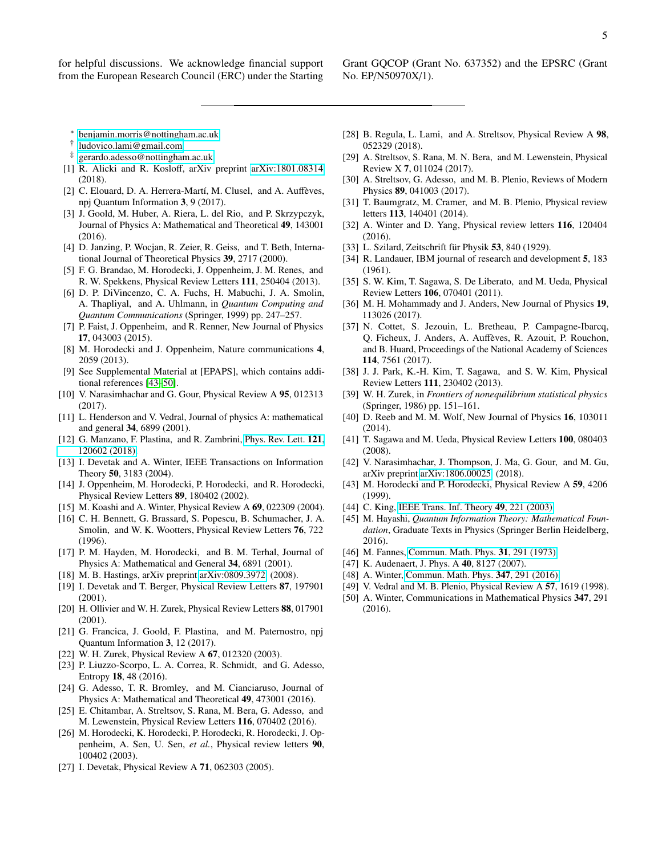for helpful discussions. We acknowledge financial support from the European Research Council (ERC) under the Starting

Grant GQCOP (Grant No. 637352) and the EPSRC (Grant No. EP/N50970X/1).

- <span id="page-4-0"></span><sup>∗</sup> [benjamin.morris@nottingham.ac.uk](mailto:benjamin.morris@nottingham.ac.uk)
- <span id="page-4-1"></span>† [ludovico.lami@gmail.com](mailto:ludovico.lami@gmail.com)
- <span id="page-4-2"></span>‡ [gerardo.adesso@nottingham.ac.uk](mailto:gerardo.adesso@nottingham.ac.uk)
- <span id="page-4-3"></span>[1] R. Alicki and R. Kosloff, arXiv preprint [arXiv:1801.08314](http://arxiv.org/abs/1801.08314) (2018).
- <span id="page-4-4"></span>[2] C. Elouard, D. A. Herrera-Martí, M. Clusel, and A. Auffèves, npj Quantum Information 3, 9 (2017).
- <span id="page-4-5"></span>[3] J. Goold, M. Huber, A. Riera, L. del Rio, and P. Skrzypczyk, Journal of Physics A: Mathematical and Theoretical 49, 143001 (2016).
- <span id="page-4-6"></span>[4] D. Janzing, P. Wocjan, R. Zeier, R. Geiss, and T. Beth, International Journal of Theoretical Physics 39, 2717 (2000).
- <span id="page-4-7"></span>[5] F. G. Brandao, M. Horodecki, J. Oppenheim, J. M. Renes, and R. W. Spekkens, Physical Review Letters 111, 250404 (2013).
- <span id="page-4-8"></span>[6] D. P. DiVincenzo, C. A. Fuchs, H. Mabuchi, J. A. Smolin, A. Thapliyal, and A. Uhlmann, in *Quantum Computing and Quantum Communications* (Springer, 1999) pp. 247–257.
- <span id="page-4-9"></span>[7] P. Faist, J. Oppenheim, and R. Renner, New Journal of Physics 17, 043003 (2015).
- <span id="page-4-10"></span>[8] M. Horodecki and J. Oppenheim, Nature communications 4, 2059 (2013).
- <span id="page-4-11"></span>[9] See Supplemental Material at [EPAPS], which contains additional references [\[43–](#page-4-38)[50\]](#page-4-39).
- <span id="page-4-12"></span>[10] V. Narasimhachar and G. Gour, Physical Review A 95, 012313 (2017).
- <span id="page-4-13"></span>[11] L. Henderson and V. Vedral, Journal of physics A: mathematical and general 34, 6899 (2001).
- <span id="page-4-14"></span>[12] G. Manzano, F. Plastina, and R. Zambrini, [Phys. Rev. Lett.](http://dx.doi.org/10.1103/PhysRevLett.121.120602) 121, [120602 \(2018\).](http://dx.doi.org/10.1103/PhysRevLett.121.120602)
- <span id="page-4-15"></span>[13] I. Devetak and A. Winter, IEEE Transactions on Information Theory 50, 3183 (2004).
- <span id="page-4-16"></span>[14] J. Oppenheim, M. Horodecki, P. Horodecki, and R. Horodecki, Physical Review Letters 89, 180402 (2002).
- <span id="page-4-17"></span>[15] M. Koashi and A. Winter, Physical Review A 69, 022309 (2004).
- <span id="page-4-18"></span>[16] C. H. Bennett, G. Brassard, S. Popescu, B. Schumacher, J. A. Smolin, and W. K. Wootters, Physical Review Letters 76, 722 (1996).
- <span id="page-4-19"></span>[17] P. M. Hayden, M. Horodecki, and B. M. Terhal, Journal of Physics A: Mathematical and General 34, 6891 (2001).
- <span id="page-4-20"></span>[18] M. B. Hastings, arXiv preprint [arXiv:0809.3972](http://arxiv.org/abs/0809.3972) (2008).
- <span id="page-4-21"></span>[19] I. Devetak and T. Berger, Physical Review Letters 87, 197901 (2001).
- <span id="page-4-22"></span>[20] H. Ollivier and W. H. Zurek, Physical Review Letters 88, 017901 (2001).
- <span id="page-4-23"></span>[21] G. Francica, J. Goold, F. Plastina, and M. Paternostro, npj Quantum Information 3, 12 (2017).
- <span id="page-4-24"></span>[22] W. H. Zurek, Physical Review A 67, 012320 (2003).
- [23] P. Liuzzo-Scorpo, L. A. Correa, R. Schmidt, and G. Adesso, Entropy 18, 48 (2016).
- <span id="page-4-25"></span>[24] G. Adesso, T. R. Bromley, and M. Cianciaruso, Journal of Physics A: Mathematical and Theoretical 49, 473001 (2016).
- <span id="page-4-26"></span>[25] E. Chitambar, A. Streltsov, S. Rana, M. Bera, G. Adesso, and M. Lewenstein, Physical Review Letters 116, 070402 (2016).
- [26] M. Horodecki, K. Horodecki, P. Horodecki, R. Horodecki, J. Oppenheim, A. Sen, U. Sen, *et al.*, Physical review letters 90, 100402 (2003).
- [27] I. Devetak, Physical Review A 71, 062303 (2005).
- <span id="page-4-28"></span>[28] B. Regula, L. Lami, and A. Streltsov, Physical Review A 98, 052329 (2018).
- <span id="page-4-27"></span>[29] A. Streltsov, S. Rana, M. N. Bera, and M. Lewenstein, Physical Review X 7, 011024 (2017).
- <span id="page-4-29"></span>[30] A. Streltsov, G. Adesso, and M. B. Plenio, Reviews of Modern Physics 89, 041003 (2017).
- <span id="page-4-30"></span>[31] T. Baumgratz, M. Cramer, and M. B. Plenio, Physical review letters 113, 140401 (2014).
- <span id="page-4-31"></span>[32] A. Winter and D. Yang, Physical review letters 116, 120404 (2016).
- <span id="page-4-32"></span>[33] L. Szilard, Zeitschrift für Physik 53, 840 (1929).
- <span id="page-4-33"></span>[34] R. Landauer, IBM journal of research and development **5**, 183 (1961).
- <span id="page-4-34"></span>[35] S. W. Kim, T. Sagawa, S. De Liberato, and M. Ueda, Physical Review Letters 106, 070401 (2011).
- [36] M. H. Mohammady and J. Anders, New Journal of Physics 19, 113026 (2017).
- [37] N. Cottet, S. Jezouin, L. Bretheau, P. Campagne-Ibarcq, Q. Ficheux, J. Anders, A. Auffeves, R. Azouit, P. Rouchon, ` and B. Huard, Proceedings of the National Academy of Sciences 114, 7561 (2017).
- <span id="page-4-36"></span>[38] J. J. Park, K.-H. Kim, T. Sagawa, and S. W. Kim, Physical Review Letters 111, 230402 (2013).
- [39] W. H. Zurek, in *Frontiers of nonequilibrium statistical physics* (Springer, 1986) pp. 151–161.
- [40] D. Reeb and M. M. Wolf, New Journal of Physics 16, 103011 (2014).
- <span id="page-4-35"></span>[41] T. Sagawa and M. Ueda, Physical Review Letters 100, 080403 (2008).
- <span id="page-4-37"></span>[42] V. Narasimhachar, J. Thompson, J. Ma, G. Gour, and M. Gu, arXiv preprint [arXiv:1806.00025](http://arxiv.org/abs/1806.00025) (2018).
- <span id="page-4-38"></span>[43] M. Horodecki and P. Horodecki, Physical Review A 59, 4206 (1999).
- <span id="page-4-42"></span>[44] C. King, [IEEE Trans. Inf. Theory](http://dx.doi.org/10.1109/TIT.2002.806153) **49**, 221 (2003).
- <span id="page-4-43"></span>[45] M. Hayashi, *Quantum Information Theory: Mathematical Foundation*, Graduate Texts in Physics (Springer Berlin Heidelberg, 2016).
- <span id="page-4-40"></span>[46] M. Fannes, [Commun. Math. Phys.](http://dx.doi.org/10.1007/BF01646490) 31, 291 (1973).
- [47] K. Audenaert, J. Phys. A 40, 8127 (2007).
- <span id="page-4-41"></span>[48] A. Winter, [Commun. Math. Phys.](http://dx.doi.org/10.1007/s00220-016-2609-8) **347**, 291 (2016).
- <span id="page-4-44"></span>[49] V. Vedral and M. B. Plenio, Physical Review A 57, 1619 (1998).
- <span id="page-4-39"></span>[50] A. Winter, Communications in Mathematical Physics 347, 291 (2016).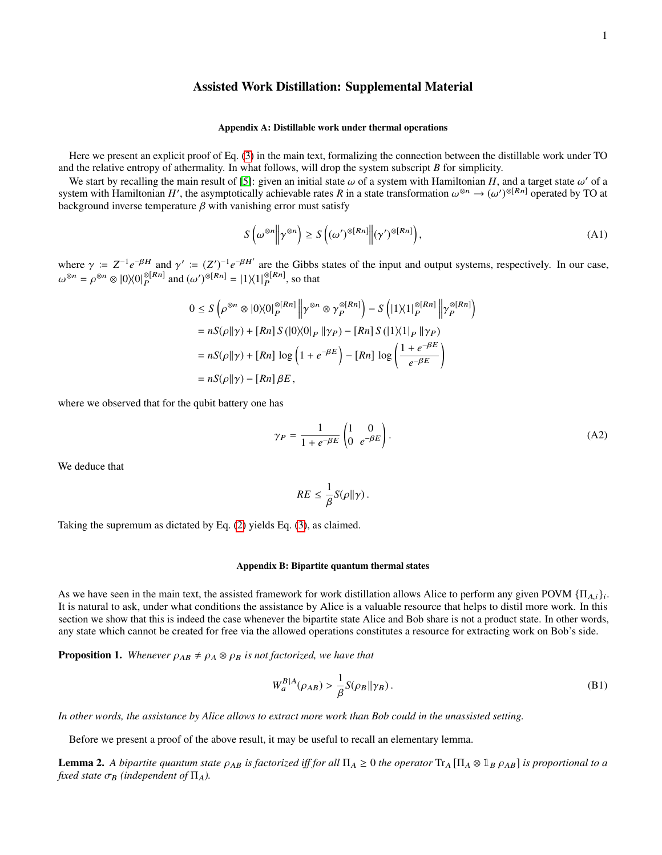# Assisted Work Distillation: Supplemental Material

### Appendix A: Distillable work under thermal operations

Here we present an explicit proof of Eq. [\(3\)](#page-1-5) in the main text, formalizing the connection between the distillable work under TO and the relative entropy of athermality. In what follows, will drop the system subscript *B* for simplicity.

We start by recalling the main result of [\[5\]](#page-4-7): given an initial state  $\omega$  of a system with Hamiltonian H, and a target state  $\omega'$  of a system with Hamiltonian H', the asymptotically achievable rates R in a state transfor We start by recalling the main result of [5]: given an initial state  $\omega$  of a system with Hamiltonian H, and a target state  $\omega'$  of a background inverse temperature  $\beta$  with vanishing error must satisfy

$$
S\left(\omega^{\otimes n} \middle\| \gamma^{\otimes n}\right) \ge S\left((\omega')^{\otimes [Rn]} \middle\| (\gamma')^{\otimes [Rn]}\right),\tag{A1}
$$

where  $\gamma := Z^{-1}e^{-\beta H}$  and  $\gamma' := (Z')^{-1}e^{-\beta H'}$  are the Gibbs states of the input and output systems, respectively. In our case,  $\beta^{8n} = \beta^{8n} \approx 0.0008^{[Rn]}$  and  $(\beta)^{8[Rn]} = 11/(18^{[Rn]}$  are thet  $\omega^{\otimes n} = \rho^{\otimes n} \otimes |0\rangle\langle 0|_P^{\otimes [Rn]}$  $P_P^{\otimes [Rn]}$  and  $(\omega')^{\otimes [Rn]} = |1\rangle\langle 1|_P^{\otimes [Rn]}$  $P_P^{\otimes [K^n]}$ , so that

$$
0 \leq S\left(\rho^{\otimes n} \otimes |0\rangle\langle 0|_P^{\otimes [Rn]} \middle\| \gamma^{\otimes n} \otimes \gamma_P^{\otimes [Rn]}\right) - S\left(|1\rangle\langle 1|_P^{\otimes [Rn]} \middle\| \gamma_P^{\otimes [Rn]}\right)
$$
  
=  $nS(\rho||\gamma) + [Rn] S(|0\rangle\langle 0|_P || \gamma_P) - [Rn] S(|1\rangle\langle 1|_P || \gamma_P)$   
=  $nS(\rho||\gamma) + [Rn] \log \left(1 + e^{-\beta E}\right) - [Rn] \log \left(\frac{1 + e^{-\beta E}}{e^{-\beta E}}\right)$   
=  $nS(\rho||\gamma) - [Rn] \beta E$ ,

where we observed that for the qubit battery one has

<span id="page-5-2"></span>
$$
\gamma_P = \frac{1}{1 + e^{-\beta E}} \begin{pmatrix} 1 & 0 \\ 0 & e^{-\beta E} \end{pmatrix} . \tag{A2}
$$

We deduce that

$$
RE \leq \frac{1}{\beta} S(\rho \|\gamma).
$$

Taking the supremum as dictated by Eq. [\(2\)](#page-1-0) yields Eq. [\(3\)](#page-1-5), as claimed.

### Appendix B: Bipartite quantum thermal states

As we have seen in the main text, the assisted framework for work distillation allows Alice to perform any given POVM  $\{\Pi_{A,i}\}_{i}$ .<br>It is natural to sek, under what conditions the assistance by Alice is a valuable resourc It is natural to ask, under what conditions the assistance by Alice is a valuable resource that helps to distil more work. In this section we show that this is indeed the case whenever the bipartite state Alice and Bob share is not a product state. In other words, any state which cannot be created for free via the allowed operations constitutes a resource for extracting work on Bob's side.

<span id="page-5-0"></span>**Proposition 1.** *Whenever*  $\rho_{AB} \neq \rho_A \otimes \rho_B$  *is not factorized, we have that* 

$$
W_a^{B|A}(\rho_{AB}) > \frac{1}{\beta} S(\rho_B \|\gamma_B). \tag{B1}
$$

*In other words, the assistance by Alice allows to extract more work than Bob could in the unassisted setting.*

Before we present a proof of the above result, it may be useful to recall an elementary lemma.

<span id="page-5-1"></span>**Lemma 2.** A bipartite quantum state  $\rho_{AB}$  is factorized iff for all  $\Pi_A \ge 0$  the operator  $T_A \Pi_A \otimes \mathbb{I}_B \rho_{AB}$  is proportional to a *fixed state*  $\sigma_B$  *(independent of*  $\Pi_A$ *).*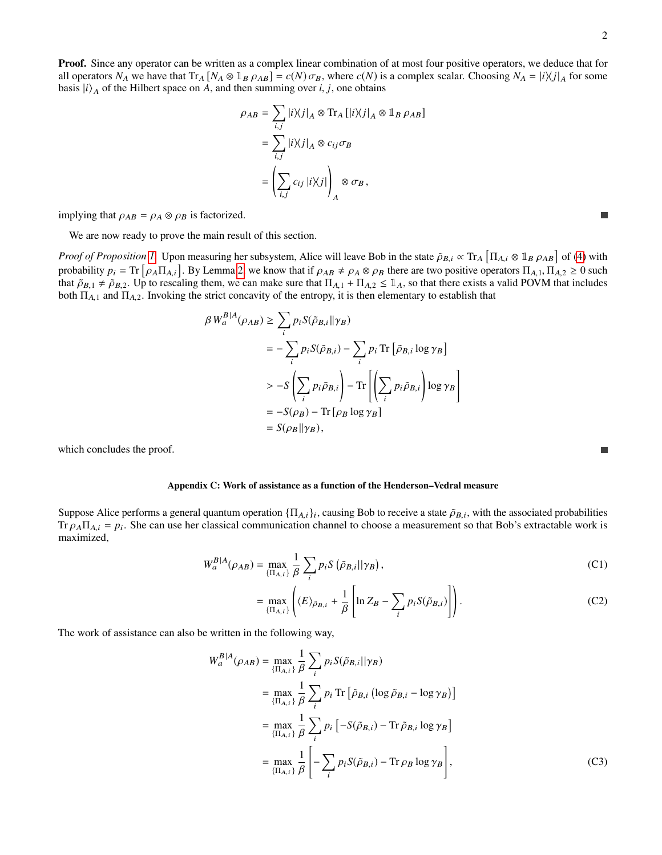Proof. Since any operator can be written as a complex linear combination of at most four positive operators, we deduce that for all operators  $N_A$  we have that  $Tr_A [N_A \otimes 1_B \rho_{AB}] = c(N) \sigma_B$ , where  $c(N)$  is a complex scalar. Choosing  $N_A = |i\rangle\langle j|_A$  for some basis  $|i\rangle_A$  of the Hilbert space on *A*, and then summing over *i*, *j*, one obtains

$$
\rho_{AB} = \sum_{i,j} |i\rangle\langle j|_A \otimes \text{Tr}_A [|i\rangle\langle j|_A \otimes \mathbb{1}_B \rho_{AB}]
$$
  
= 
$$
\sum_{i,j} |i\rangle\langle j|_A \otimes c_{ij}\sigma_B
$$
  
= 
$$
\left(\sum_{i,j} c_{ij} |i\rangle\langle j|\right)_A \otimes \sigma_B,
$$

implying that  $\rho_{AB} = \rho_A \otimes \rho_B$  is factorized.

We are now ready to prove the main result of this section.

*Proof of Proposition [1.](#page-5-0)* Upon measuring her subsystem, Alice will leave Bob in the state  $\tilde{\rho}_{B,i} \propto \text{Tr}_A \left[ \Pi_{A,i} \otimes \mathbb{1}_B \rho_{AB} \right]$  of [\(4\)](#page-1-6) with probability  $p_i = \text{Tr} \left[ \rho_A \Pi_{A,i} \right]$ . By Lemma [2,](#page-5-1) we know that if  $\rho_{AB} \neq \rho_A \otimes \rho_B$  there are two positive operators  $\Pi_{A,1}, \Pi_{A,2} \ge 0$  such that  $\tilde{\rho}_{B,1} \neq \tilde{\rho}_{B,2}$ . In to rescaling them, we can make sure that that  $\tilde{\rho}_{B,1} \neq \tilde{\rho}_{B,2}$ . Up to rescaling them, we can make sure that  $\Pi_{A,1} + \Pi_{A,2} \leq \mathbb{1}_A$ , so that there exists a valid POVM that includes both  $\Pi_{A,1}$  and  $\Pi_{A,2}$ . Invoking the strict concavity of the entropy, it is then elementary to establish that

$$
\beta W_a^{B|A}(\rho_{AB}) \ge \sum_i p_i S(\tilde{\rho}_{B,i} || \gamma_B)
$$
  
=  $-\sum_i p_i S(\tilde{\rho}_{B,i}) - \sum_i p_i \operatorname{Tr} [\tilde{\rho}_{B,i} \log \gamma_B]$   
 $\ge -S \left( \sum_i p_i \tilde{\rho}_{B,i} \right) - \operatorname{Tr} \left[ \left( \sum_i p_i \tilde{\rho}_{B,i} \right) \log \gamma_B \right]$   
=  $-S(\rho_B) - \operatorname{Tr} [\rho_B \log \gamma_B]$   
=  $S(\rho_B || \gamma_B),$ 

which concludes the proof.

### Appendix C: Work of assistance as a function of the Henderson–Vedral measure

Suppose Alice performs a general quantum operation  $\{\Pi_{A,i}\}_i$ , causing Bob to receive a state  $\tilde{\rho}_{B,i}$ , with the associated probabilities  $\Gamma_{A,i}$   $\Gamma_{A,i}$  and  $\Gamma_{B,i}$  are  $\Gamma_{B,i}$  and  $\Gamma_{B,i}$  are  $\Gamma_{B,i}$  are  $\Gamma_{B$ Tr  $\rho_A \Pi_{A,i} = p_i$ . She can use her classical communication channel to choose a measurement so that Bob's extractable work is maximized maximized,

$$
W_a^{B|A}(\rho_{AB}) = \max_{\{\Pi_{A,i}\}} \frac{1}{\beta} \sum_i p_i S\left(\tilde{\rho}_{B,i} || \gamma_B\right),\tag{C1}
$$

$$
= \max_{\{\Pi_{A,i}\}} \left( \langle E \rangle_{\tilde{\rho}_{B,i}} + \frac{1}{\beta} \left[ \ln Z_B - \sum_i p_i S(\tilde{\rho}_{B,i}) \right] \right). \tag{C2}
$$

The work of assistance can also be written in the following way,

$$
W_{a}^{B|A}(\rho_{AB}) = \max_{\{\Pi_{A,i}\}} \frac{1}{\beta} \sum_{i} p_{i} S(\tilde{\rho}_{B,i} || \gamma_{B})
$$
  
\n
$$
= \max_{\{\Pi_{A,i}\}} \frac{1}{\beta} \sum_{i} p_{i} \operatorname{Tr} [\tilde{\rho}_{B,i} (\log \tilde{\rho}_{B,i} - \log \gamma_{B})]
$$
  
\n
$$
= \max_{\{\Pi_{A,i}\}} \frac{1}{\beta} \sum_{i} p_{i} [-S(\tilde{\rho}_{B,i}) - \operatorname{Tr} \tilde{\rho}_{B,i} \log \gamma_{B}]
$$
  
\n
$$
= \max_{\{\Pi_{A,i}\}} \frac{1}{\beta} \left[ -\sum_{i} p_{i} S(\tilde{\rho}_{B,i}) - \operatorname{Tr} \rho_{B} \log \gamma_{B} \right],
$$
 (C3)

 $\mathbb{R}^n$ 

<span id="page-6-0"></span>П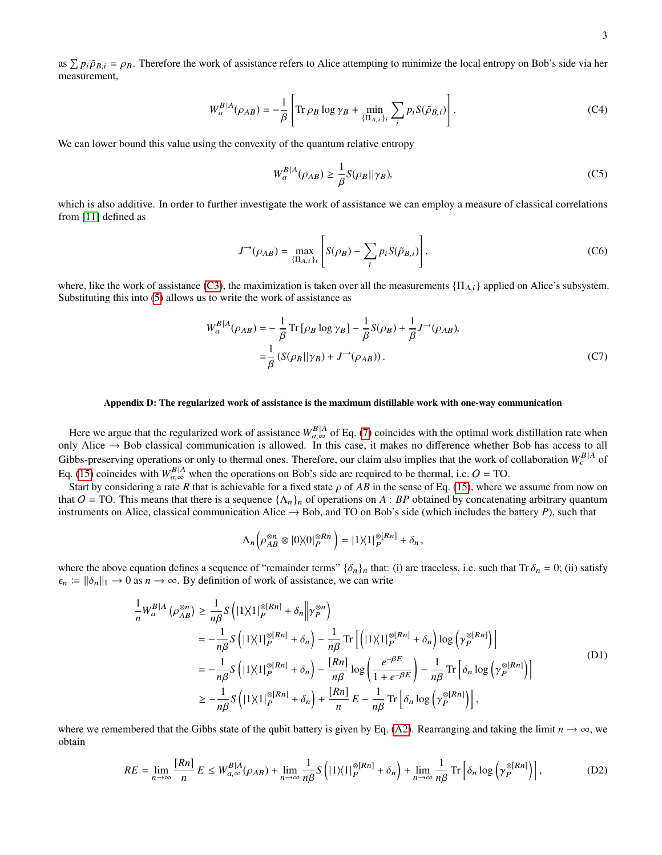as  $\sum p_i \tilde{\rho}_{B,i} = \rho_B$ . Therefore the work of assistance refers to Alice attempting to minimize the local entropy on Bob's side via her measurement measurement,

$$
W_a^{B|A}(\rho_{AB}) = -\frac{1}{\beta} \left[ \text{Tr}\,\rho_B \log \gamma_B + \min_{\{\Pi_{A,i}\}\}} \sum_i p_i S(\tilde{\rho}_{B,i}) \right]. \tag{C4}
$$

We can lower bound this value using the convexity of the quantum relative entropy

$$
W_a^{B|A}(\rho_{AB}) \ge \frac{1}{\beta} S(\rho_B || \gamma_B),\tag{C5}
$$

which is also additive. In order to further investigate the work of assistance we can employ a measure of classical correlations from [\[11\]](#page-4-13) defined as

$$
J^{\rightarrow}(\rho_{AB}) = \max_{\{\Pi_{A,i}\}_i} \left[ S(\rho_B) - \sum_i p_i S(\tilde{\rho}_{B,i}) \right],
$$
 (C6)

where, like the work of assistance [\(C3\)](#page-6-0), the maximization is taken over all the measurements  $\{\Pi_{A,i}\}\$ applied on Alice's subsystem. Substituting this into [\(5\)](#page-1-7) allows us to write the work of assistance as

$$
W_a^{B|A}(\rho_{AB}) = -\frac{1}{\beta} \operatorname{Tr} \left[ \rho_B \log \gamma_B \right] - \frac{1}{\beta} S(\rho_B) + \frac{1}{\beta} J^{-\lambda}(\rho_{AB}),
$$
  

$$
= \frac{1}{\beta} \left( S(\rho_B || \gamma_B) + J^{-\lambda}(\rho_{AB}) \right). \tag{C7}
$$

### Appendix D: The regularized work of assistance is the maximum distillable work with one-way communication

Here we argue that the regularized work of assistance  $W_{a,\infty}^{B|A}$  of Eq. [\(7\)](#page-1-2) coincides with the optimal work distillation rate when<br>In Alice  $\rightarrow$  Bob classical communication is allowed. In this case, it makes no differ only Alice  $\rightarrow$  Bob classical communication is allowed. In this case, it makes no difference whether Bob has access to all Gibbs-preserving operations or only to thermal ones. Therefore, our claim also implies that the work of collaboration  $W_c^{B|A}$  of Eq. [\(15\)](#page-2-2) coincides with  $W_{a,\infty}^{B|A}$  when the operations on Bob's side are required to be thermal, i.e.  $O = \text{TO}$ .<br>Stort by considering a rate *B* that is schiewable for a fixed state o.of *AB* in the same of Eq. (15),

Start by considering a rate *R* that is achievable for a fixed state  $\rho$  of *AB* in the sense of Eq. [\(15\)](#page-2-2), where we assume from now on that  $O = TO$ . This means that there is a sequence  $\{\Lambda_n\}_n$  of operations on A : BP obtained by concatenating arbitrary quantum instruments on Alice, classical communication Alice  $\rightarrow$  Bob, and TO on Bob's side (which includes the battery *P*), such that

$$
\Lambda_n\big(\rho_{AB}^{\otimes n} \otimes |0\rangle\langle 0|_P^{\otimes Rn}\big) = |1\rangle\langle 1|_P^{\otimes [Rn]} + \delta_n,
$$

where the above equation defines a sequence of "remainder terms"  $\{\delta_n\}_n$  that: (i) are traceless, i.e. such that Tr  $\delta_n = 0$ ; (ii) satisfy  $\epsilon_n \coloneqq ||\delta_n||_1 \to 0$  as  $n \to \infty$ . By definition of work of assistance, we can write

<span id="page-7-1"></span>
$$
\frac{1}{n}W_{a}^{B|A}(\rho_{AB}^{\otimes n}) \ge \frac{1}{n\beta}S\left(|1\rangle\langle 1|_{P}^{\otimes [Rn]} + \delta_{n} \middle\| \gamma_{P}^{\otimes n}\right)
$$
\n
$$
= -\frac{1}{n\beta}S\left(|1\rangle\langle 1|_{P}^{\otimes [Rn]} + \delta_{n}\right) - \frac{1}{n\beta}\operatorname{Tr}\left[\left(|1\rangle\langle 1|_{P}^{\otimes [Rn]} + \delta_{n}\right)\log\left(\gamma_{P}^{\otimes [Rn]}\right)\right]
$$
\n
$$
= -\frac{1}{n\beta}S\left(|1\rangle\langle 1|_{P}^{\otimes [Rn]} + \delta_{n}\right) - \frac{[Rn]}{n\beta}\log\left(\frac{e^{-\beta E}}{1 + e^{-\beta E}}\right) - \frac{1}{n\beta}\operatorname{Tr}\left[\delta_{n}\log\left(\gamma_{P}^{\otimes [Rn]}\right)\right]
$$
\n
$$
\ge -\frac{1}{n\beta}S\left(|1\rangle\langle 1|_{P}^{\otimes [Rn]} + \delta_{n}\right) + \frac{[Rn]}{n}E - \frac{1}{n\beta}\operatorname{Tr}\left[\delta_{n}\log\left(\gamma_{P}^{\otimes [Rn]}\right)\right],
$$
\n(D1)

where we remembered that the Gibbs state of the qubit battery is given by Eq. [\(A2\)](#page-5-2). Rearranging and taking the limit  $n \to \infty$ , we obtain

<span id="page-7-0"></span>
$$
RE = \lim_{n \to \infty} \frac{[Rn]}{n} E \le W_{a,\infty}^{B|A}(\rho_{AB}) + \lim_{n \to \infty} \frac{1}{n\beta} S\left( |1 \rangle \langle 1|_P^{\otimes [Rn]} + \delta_n \right) + \lim_{n \to \infty} \frac{1}{n\beta} \operatorname{Tr} \left[ \delta_n \log \left( \gamma_P^{\otimes [Rn]} \right) \right],\tag{D2}
$$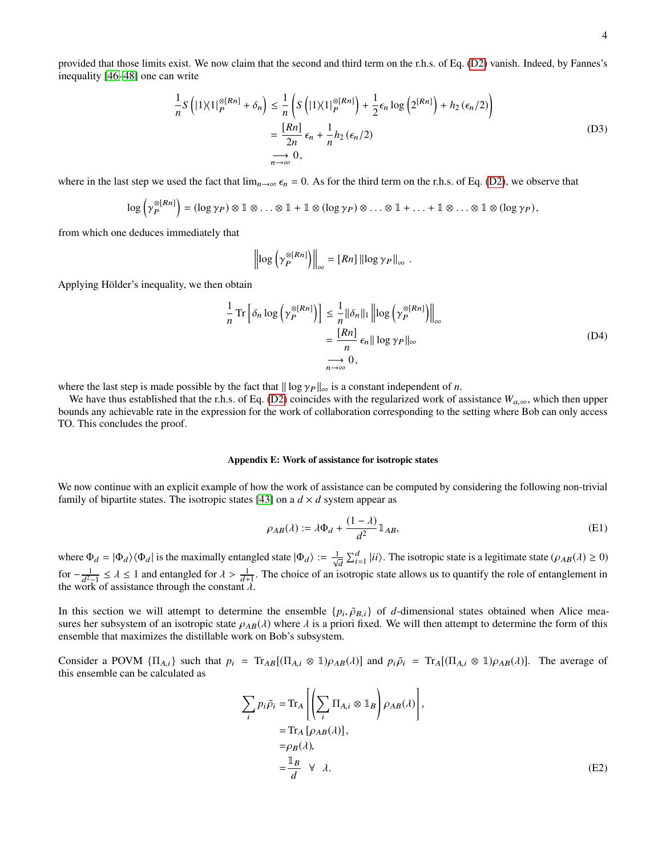provided that those limits exist. We now claim that the second and third term on the r.h.s. of Eq. [\(D2\)](#page-7-0) vanish. Indeed, by Fannes's inequality [\[46–](#page-4-40)[48\]](#page-4-41) one can write

<span id="page-8-0"></span>
$$
\frac{1}{n}S\left(|1\rangle\langle 1|_P^{\otimes [Rn]} + \delta_n\right) \le \frac{1}{n}\left(S\left(|1\rangle\langle 1|_P^{\otimes [Rn]}\right) + \frac{1}{2}\epsilon_n \log\left(2^{[Rn]}\right) + h_2\left(\epsilon_n/2\right)\right)
$$
\n
$$
= \frac{[Rn]}{2n}\epsilon_n + \frac{1}{n}h_2\left(\epsilon_n/2\right)
$$
\n
$$
\xrightarrow[n \to \infty]{} 0,
$$
\n(D3)

where in the last step we used the fact that  $\lim_{n\to\infty} \epsilon_n = 0$ . As for the third term on the r.h.s. of Eq. [\(D2\)](#page-7-0), we observe that

$$
\log\left(\gamma_P^{\otimes [Rn]}\right) = (\log \gamma_P) \otimes \mathbb{1} \otimes \ldots \otimes \mathbb{1} + \mathbb{1} \otimes (\log \gamma_P) \otimes \ldots \otimes \mathbb{1} + \ldots + \mathbb{1} \otimes \ldots \otimes \mathbb{1} \otimes (\log \gamma_P),
$$

from which one deduces immediately that

$$
\left\| \log \left( \gamma_P^{\otimes [Rn]} \right) \right\|_{\infty} = [Rn] \left\| \log \gamma_P \right\|_{\infty} .
$$

Applying Hölder's inequality, we then obtain

<span id="page-8-1"></span>
$$
\frac{1}{n}\operatorname{Tr}\left[\delta_n \log\left(\gamma_P^{\otimes [Rn]}\right)\right] \le \frac{1}{n} \|\delta_n\|_1 \left\| \log\left(\gamma_P^{\otimes [Rn]}\right)\right\|_{\infty} \n= \frac{[Rn]}{n} \epsilon_n ||\log \gamma_P||_{\infty} \n\longrightarrow 0,
$$
\n(D4)

where the last step is made possible by the fact that  $\|\log \gamma_P\|_{\infty}$  is a constant independent of *n*.

We have thus established that the r.h.s. of Eq. [\(D2\)](#page-7-0) coincides with the regularized work of assistance  $W_{a,\infty}$ , which then upper bounds any achievable rate in the expression for the work of collaboration corresponding to the setting where Bob can only access TO. This concludes the proof.

### Appendix E: Work of assistance for isotropic states

We now continue with an explicit example of how the work of assistance can be computed by considering the following non-trivial family of bipartite states. The isotropic states [\[43\]](#page-4-38) on a  $d \times d$  system appear as

$$
\rho_{AB}(\lambda) := \lambda \Phi_d + \frac{(1-\lambda)}{d^2} \mathbb{1}_{AB},\tag{E1}
$$

where  $\Phi_d = |\Phi_d\rangle \langle \Phi_d|$  is the maximally entangled state  $|\Phi_d\rangle := \frac{1}{\sqrt{d}} \sum_{i=1}^d |ii\rangle$ . The isotropic state is a legitimate state ( $\rho_{AB}(\lambda) \ge 0$ ) for  $-\frac{1}{d^2-1}$  ≤  $\lambda$  ≤ 1 and entangled for  $\lambda > \frac{1}{d+1}$ . The choice of an isotropic state allows us to quantify the role of entanglement in the work of assistance through the constant  $\lambda$ the work of assistance through the constant  $\lambda$ .

In this section we will attempt to determine the ensemble  $\{p_i, \tilde{\rho}_{B,i}\}$  of *d*-dimensional states obtained when Alice mea-<br>sures her subsystem of an isotropic state  $Q_{AB}(\lambda)$  where  $\lambda$  is a priori fixed. We will then sures her subsystem of an isotropic state  $\rho_{AB}(\lambda)$  where  $\lambda$  is a priori fixed. We will then attempt to determine the form of this ensemble that maximizes the distillable work on Bob's subsystem.

Consider a POVM  $\{\Pi_{A,i}\}\$  such that  $p_i = \text{Tr}_{AB}[(\Pi_{A,i} \otimes \mathbb{1})\rho_{AB}(\lambda)]$  and  $p_i \tilde{\rho}_i = \text{Tr}_A[(\Pi_{A,i} \otimes \mathbb{1})\rho_{AB}(\lambda)]$ . The average of this ensemble can be calculated as

$$
\sum_{i} p_{i} \tilde{\rho}_{i} = \text{Tr}_{A} \left[ \left( \sum_{i} \Pi_{A,i} \otimes \mathbb{1}_{B} \right) \rho_{AB}(\lambda) \right],
$$
  
\n
$$
= \text{Tr}_{A} \left[ \rho_{AB}(\lambda) \right],
$$
  
\n
$$
= \rho_{B}(\lambda),
$$
  
\n
$$
= \frac{\mathbb{1}_{B}}{d} \quad \forall \quad \lambda.
$$
 (E2)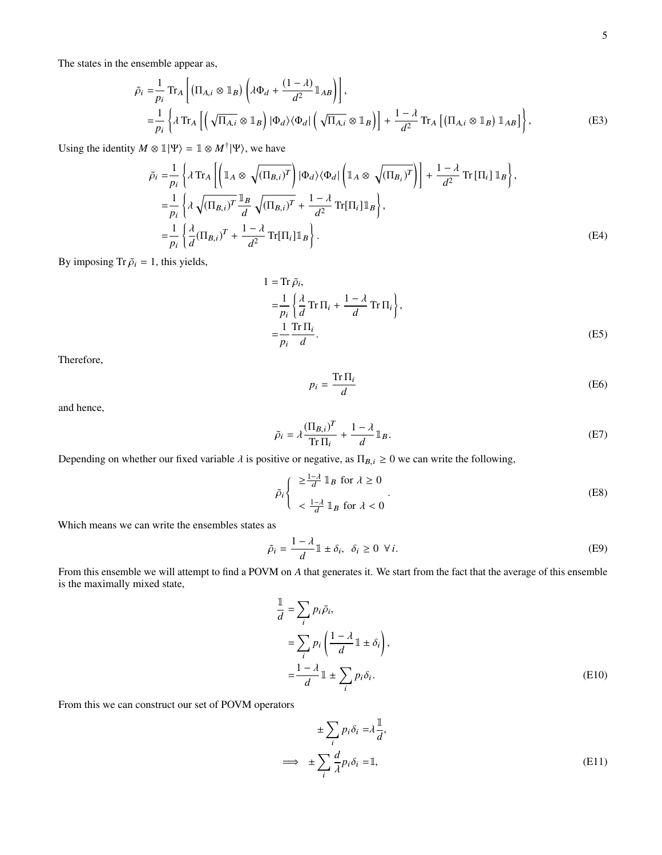The states in the ensemble appear as,

$$
\tilde{\rho}_{i} = \frac{1}{p_{i}} \operatorname{Tr}_{A} \left[ \left( \Pi_{A,i} \otimes \mathbb{1}_{B} \right) \left( \lambda \Phi_{d} + \frac{(1-\lambda)}{d^{2}} \mathbb{1}_{AB} \right) \right],
$$
\n
$$
= \frac{1}{p_{i}} \left\{ \lambda \operatorname{Tr}_{A} \left[ \left( \sqrt{\Pi_{A,i}} \otimes \mathbb{1}_{B} \right) | \Phi_{d} \rangle \langle \Phi_{d} | \left( \sqrt{\Pi_{A,i}} \otimes \mathbb{1}_{B} \right) \right] + \frac{1-\lambda}{d^{2}} \operatorname{Tr}_{A} \left[ \left( \Pi_{A,i} \otimes \mathbb{1}_{B} \right) \mathbb{1}_{AB} \right] \right\},
$$
\n(E3)

Using the identity  $M \otimes \mathbb{1}|\Psi\rangle = \mathbb{1} \otimes M^{\dagger}|\Psi\rangle$ , we have

$$
\tilde{\rho}_{i} = \frac{1}{p_{i}} \left\{ \lambda \operatorname{Tr}_{A} \left[ \left( \mathbb{1}_{A} \otimes \sqrt{(\Pi_{B,i})^{T}} \right) | \Phi_{d} \rangle \langle \Phi_{d} | \left( \mathbb{1}_{A} \otimes \sqrt{(\Pi_{B,i})^{T}} \right) \right] + \frac{1 - \lambda}{d^{2}} \operatorname{Tr} [\Pi_{i}] \mathbb{1}_{B} \right\},
$$
\n
$$
= \frac{1}{p_{i}} \left\{ \lambda \sqrt{(\Pi_{B,i})^{T}} \frac{\mathbb{1}_{B}}{d} \sqrt{(\Pi_{B,i})^{T}} + \frac{1 - \lambda}{d^{2}} \operatorname{Tr}[\Pi_{i}] \mathbb{1}_{B} \right\},
$$
\n
$$
= \frac{1}{p_{i}} \left\{ \frac{\lambda}{d} (\Pi_{B,i})^{T} + \frac{1 - \lambda}{d^{2}} \operatorname{Tr}[\Pi_{i}] \mathbb{1}_{B} \right\}.
$$
\n(E4)

By imposing Tr  $\tilde{\rho}_i = 1$ , this yields,

$$
1 = \text{Tr } \tilde{\rho}_i,
$$
  
\n
$$
= \frac{1}{p_i} \left\{ \frac{\lambda}{d} \text{Tr } \Pi_i + \frac{1 - \lambda}{d} \text{Tr } \Pi_i \right\},
$$
  
\n
$$
= \frac{1}{p_i} \frac{\text{Tr } \Pi_i}{d}.
$$
 (E5)

Therefore,

<span id="page-9-2"></span><span id="page-9-1"></span><span id="page-9-0"></span>
$$
p_i = \frac{\text{Tr}\,\Pi_i}{d} \tag{E6}
$$

and hence,

$$
\tilde{\rho}_i = \lambda \frac{(\Pi_{B,i})^T}{\text{Tr}\,\Pi_i} + \frac{1-\lambda}{d} \mathbb{1}_B. \tag{E7}
$$

Depending on whether our fixed variable  $\lambda$  is positive or negative, as  $\Pi_{B,i} \geq 0$  we can write the following,

$$
\tilde{\rho}_i \begin{cases}\n\geq \frac{1-\lambda}{d} \mathbb{1}_B \text{ for } \lambda \geq 0 \\
\lt \frac{1-\lambda}{d} \mathbb{1}_B \text{ for } \lambda < 0\n\end{cases} \tag{E8}
$$

Which means we can write the ensembles states as

$$
\tilde{\rho}_i = \frac{1 - \lambda}{d} \mathbb{1} \pm \delta_i, \quad \delta_i \ge 0 \quad \forall i.
$$
 (E9)

From this ensemble we will attempt to find a POVM on *A* that generates it. We start from the fact that the average of this ensemble is the maximally mixed state,

$$
\frac{1}{d} = \sum_{i} p_i \tilde{\rho}_i,
$$
\n
$$
= \sum_{i} p_i \left( \frac{1 - \lambda}{d} \mathbb{1} \pm \delta_i \right),
$$
\n
$$
= \frac{1 - \lambda}{d} \mathbb{1} \pm \sum_{i} p_i \delta_i.
$$
\n(E10)

From this we can construct our set of POVM operators

$$
\pm \sum_{i} p_{i} \delta_{i} = \lambda \frac{1}{d},
$$
  

$$
\implies \pm \sum_{i} \frac{d}{\lambda} p_{i} \delta_{i} = 1,
$$
 (E11)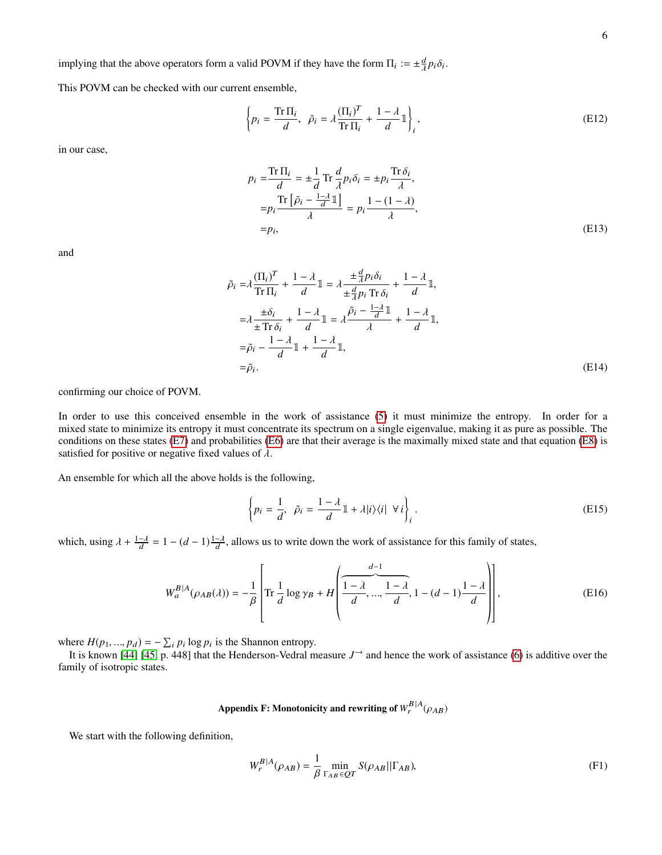implying that the above operators form a valid POVM if they have the form  $\Pi_i := \pm \frac{d}{\lambda} p_i \delta_i$ .

This POVM can be checked with our current ensemble,

$$
\left\{ p_i = \frac{\text{Tr}\,\Pi_i}{d}, \ \ \tilde{\rho}_i = \lambda \frac{(\Pi_i)^T}{\text{Tr}\,\Pi_i} + \frac{1-\lambda}{d} \mathbb{1} \right\}_i, \tag{E12}
$$

in our case,

$$
p_i = \frac{\text{Tr } \Pi_i}{d} = \pm \frac{1}{d} \text{Tr } \frac{d}{\lambda} p_i \delta_i = \pm p_i \frac{\text{Tr } \delta_i}{\lambda},
$$
  
\n
$$
= p_i \frac{\text{Tr } [\tilde{\rho}_i - \frac{1-\lambda}{d} \mathbb{I}]}{\lambda} = p_i \frac{1 - (1-\lambda)}{\lambda},
$$
  
\n
$$
= p_i,
$$
 (E13)

and

$$
\tilde{\rho}_{i} = \lambda \frac{(\Pi_{i})^{T}}{\text{Tr} \Pi_{i}} + \frac{1 - \lambda}{d} \mathbb{1} = \lambda \frac{\pm \frac{d}{\lambda} p_{i} \delta_{i}}{\pm \frac{d}{\lambda} p_{i} \text{Tr} \delta_{i}} + \frac{1 - \lambda}{d} \mathbb{1},
$$
\n
$$
= \lambda \frac{\pm \delta_{i}}{\pm \text{Tr} \delta_{i}} + \frac{1 - \lambda}{d} \mathbb{1} = \lambda \frac{\tilde{\rho}_{i} - \frac{1 - \lambda}{d} \mathbb{1}}{\lambda} + \frac{1 - \lambda}{d} \mathbb{1},
$$
\n
$$
= \tilde{\rho}_{i} - \frac{1 - \lambda}{d} \mathbb{1} + \frac{1 - \lambda}{d} \mathbb{1},
$$
\n
$$
= \tilde{\rho}_{i}.
$$
\n(E14)

confirming our choice of POVM.

In order to use this conceived ensemble in the work of assistance [\(5\)](#page-1-7) it must minimize the entropy. In order for a mixed state to minimize its entropy it must concentrate its spectrum on a single eigenvalue, making it as pure as possible. The conditions on these states [\(E7\)](#page-9-0) and probabilities [\(E6\)](#page-9-1) are that their average is the maximally mixed state and that equation [\(E8\)](#page-9-2) is satisfied for positive or negative fixed values of  $\lambda$ .

An ensemble for which all the above holds is the following,

$$
\left\{ p_i = \frac{1}{d}, \ \tilde{p}_i = \frac{1 - \lambda}{d} \mathbb{1} + \lambda |i\rangle\langle i| \ \forall i \right\}_i.
$$
 (E15)

 $^{\prime}$ 

which, using  $\lambda + \frac{1-\lambda}{d} = 1 - (d-1)\frac{1-\lambda}{d}$ , allows us to write down the work of assistance for this family of states,

$$
W_a^{B|A}(\rho_{AB}(\lambda)) = -\frac{1}{\beta} \left[ \text{Tr} \frac{1}{d} \log \gamma_B + H \left( \frac{\frac{d-1}{d-1}}{d}, \dots, \frac{1-\lambda}{d}, 1 - (d-1) \frac{1-\lambda}{d} \right) \right], \tag{E16}
$$

where  $H(p_1, ..., p_d) = -\sum_i p_i \log p_i$  is the Shannon entropy.<br>It is known [441 [45, p. 448] that the Henderson-Vedral m

It is known [\[44\]](#page-4-42) [\[45,](#page-4-43) p. 448] that the Henderson-Vedral measure  $J^{\rightarrow}$  and hence the work of assistance [\(6\)](#page-1-1) is additive over the family of isotropic states.

# Appendix F: Monotonicity and rewriting of  $W_r^{B|A}(\rho_{AB})$

We start with the following definition,

$$
W_r^{B|A}(\rho_{AB}) = \frac{1}{\beta} \min_{\Gamma_{AB} \in QT} S(\rho_{AB} || \Gamma_{AB}),
$$
\n(F1)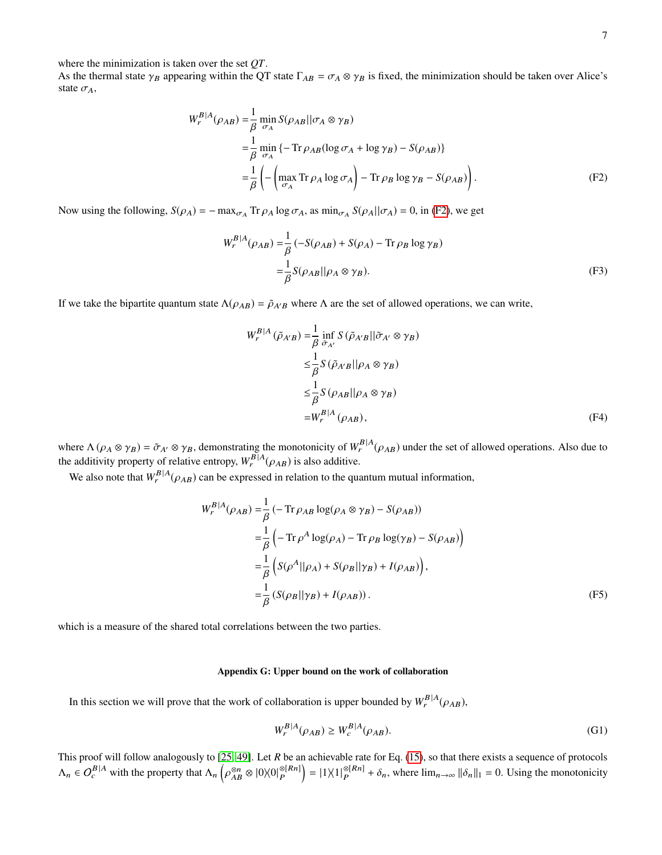where the minimization is taken over the set *QT*.

As the thermal state  $\gamma_B$  appearing within the QT state  $\Gamma_{AB} = \sigma_A \otimes \gamma_B$  is fixed, the minimization should be taken over Alice's state  $\sigma_A$ ,

$$
W_r^{B|A}(\rho_{AB}) = \frac{1}{\beta} \min_{\sigma_A} S(\rho_{AB} || \sigma_A \otimes \gamma_B)
$$
  
= 
$$
\frac{1}{\beta} \min_{\sigma_A} \{-\text{Tr}\,\rho_{AB}(\log \sigma_A + \log \gamma_B) - S(\rho_{AB})\}
$$
  
= 
$$
\frac{1}{\beta} \left( -\left( \max_{\sigma_A} \text{Tr}\,\rho_A \log \sigma_A \right) - \text{Tr}\,\rho_B \log \gamma_B - S(\rho_{AB}) \right).
$$
 (F2)

Now using the following,  $S(\rho_A) = -\max_{\sigma_A} \text{Tr} \rho_A \log \sigma_A$ , as  $\min_{\sigma_A} S(\rho_A || \sigma_A) = 0$ , in [\(F2\)](#page-11-0), we get

<span id="page-11-0"></span>
$$
W_r^{B|A}(\rho_{AB}) = \frac{1}{\beta} \left( -S(\rho_{AB}) + S(\rho_A) - \text{Tr}\,\rho_B \log \gamma_B \right)
$$
  

$$
= \frac{1}{\beta} S(\rho_{AB}||\rho_A \otimes \gamma_B). \tag{F3}
$$

If we take the bipartite quantum state  $\Lambda(\rho_{AB}) = \tilde{\rho}_{A'B}$  where  $\Lambda$  are the set of allowed operations, we can write,

$$
W_r^{B|A}(\tilde{\rho}_{A'B}) = \frac{1}{\beta} \inf_{\tilde{\sigma}_{A'}} S(\tilde{\rho}_{A'B} || \tilde{\sigma}_{A'} \otimes \gamma_B)
$$
  
\n
$$
\leq \frac{1}{\beta} S(\tilde{\rho}_{A'B} || \rho_A \otimes \gamma_B)
$$
  
\n
$$
\leq \frac{1}{\beta} S(\rho_{AB} || \rho_A \otimes \gamma_B)
$$
  
\n
$$
= W_r^{B|A}(\rho_{AB}), \qquad (F4)
$$

where  $\Lambda(\rho_A \otimes \gamma_B) = \tilde{\sigma}_{A'} \otimes \gamma_B$ , demonstrating the monotonicity of  $W_r^{B|A}(\rho_{AB})$  under the set of allowed operations. Also due to the additivity property of relative entropy,  $W_r^{B|A}(\rho_{AB})$  is also additive.

We also note that  $W_r^{B|A}(\rho_{AB})$  can be expressed in relation to the quantum mutual information,

$$
W_r^{B|A}(\rho_{AB}) = \frac{1}{\beta} \left( -\operatorname{Tr} \rho_{AB} \log(\rho_A \otimes \gamma_B) - S(\rho_{AB}) \right)
$$
  
\n
$$
= \frac{1}{\beta} \left( -\operatorname{Tr} \rho^A \log(\rho_A) - \operatorname{Tr} \rho_B \log(\gamma_B) - S(\rho_{AB}) \right)
$$
  
\n
$$
= \frac{1}{\beta} \left( S(\rho^A || \rho_A) + S(\rho_B || \gamma_B) + I(\rho_{AB}) \right),
$$
  
\n
$$
= \frac{1}{\beta} \left( S(\rho_B || \gamma_B) + I(\rho_{AB}) \right).
$$
 (F5)

which is a measure of the shared total correlations between the two parties.

## Appendix G: Upper bound on the work of collaboration

In this section we will prove that the work of collaboration is upper bounded by  $W_r^{B|A}(\rho_{AB})$ ,

$$
W_r^{B|A}(\rho_{AB}) \ge W_c^{B|A}(\rho_{AB}).\tag{G1}
$$

This proof will follow analogously to [\[25,](#page-4-26) [49\]](#page-4-44). Let *R* be an achievable rate for Eq. [\(15\)](#page-2-2), so that there exists a sequence of protocols  $\Lambda_n \in O_c^{B|A}$  with the property that  $\Lambda_n$   $\Big(\frac{1}{2}I\Big)^{B}$ ρ ⊗n ⊗ |0 $\chi$ 0| $_P^{\otimes[Rn]}$  $\binom{\otimes [R_n]}{P} = |1\rangle\langle 1|\frac{\otimes [R_n]}{P}$  $\sum_{P}^{\otimes [Kn]} + \delta_n$ , where  $\lim_{n \to \infty} ||\delta_n||_1 = 0$ . Using the monotonicity